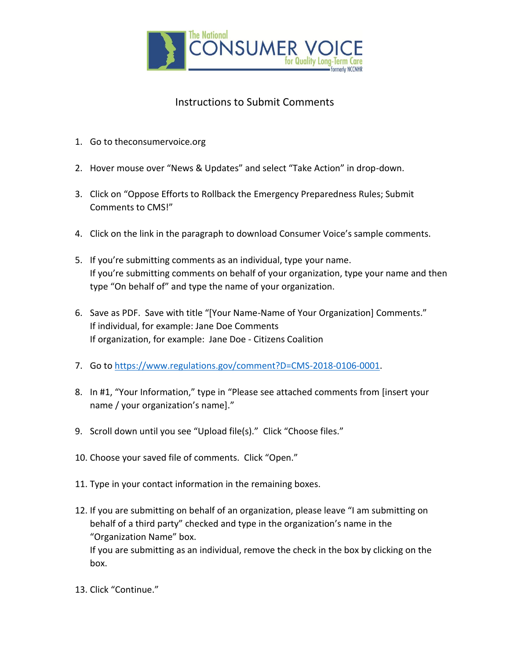

## Instructions to Submit Comments

- 1. Go to theconsumervoice.org
- 2. Hover mouse over "News & Updates" and select "Take Action" in drop-down.
- 3. Click on "Oppose Efforts to Rollback the Emergency Preparedness Rules; Submit Comments to CMS!"
- 4. Click on the link in the paragraph to download Consumer Voice's sample comments.
- 5. If you're submitting comments as an individual, type your name. If you're submitting comments on behalf of your organization, type your name and then type "On behalf of" and type the name of your organization.
- 6. Save as PDF. Save with title "[Your Name-Name of Your Organization] Comments." If individual, for example: Jane Doe Comments If organization, for example: Jane Doe - Citizens Coalition
- 7. Go t[o https://www.regulations.gov/comment?D=CMS-2018-0106-0001.](https://www.regulations.gov/comment?D=CMS-2018-0106-0001)
- 8. In #1, "Your Information," type in "Please see attached comments from [insert your name / your organization's name]."
- 9. Scroll down until you see "Upload file(s)." Click "Choose files."
- 10. Choose your saved file of comments. Click "Open."
- 11. Type in your contact information in the remaining boxes.
- 12. If you are submitting on behalf of an organization, please leave "I am submitting on behalf of a third party" checked and type in the organization's name in the "Organization Name" box. If you are submitting as an individual, remove the check in the box by clicking on the box.
- 13. Click "Continue."